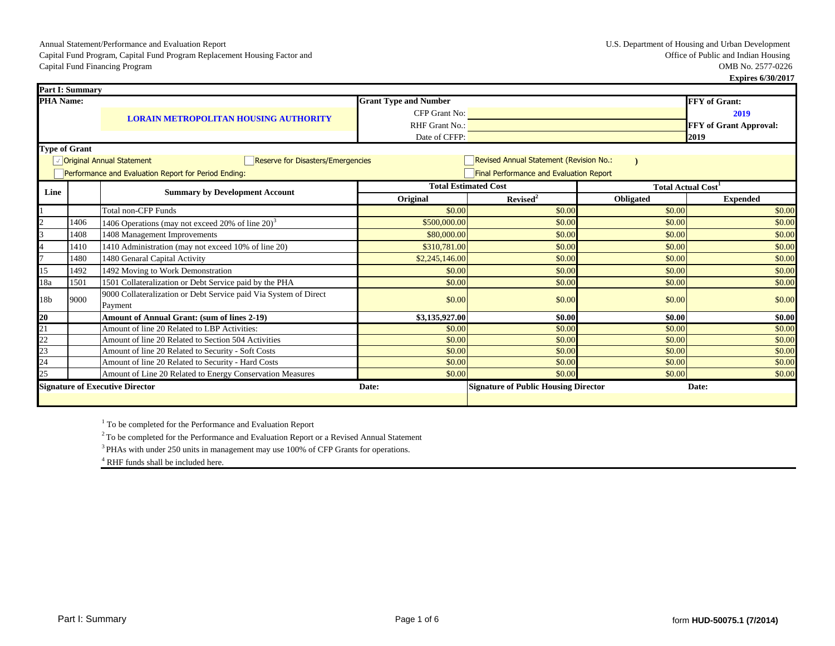**Expires 6/30/2017**

|                  | <b>Part I: Summary</b> |                                                                             |                              |                                             |                          |                        |  |
|------------------|------------------------|-----------------------------------------------------------------------------|------------------------------|---------------------------------------------|--------------------------|------------------------|--|
| <b>PHA Name:</b> |                        |                                                                             | <b>Grant Type and Number</b> |                                             |                          | <b>FFY</b> of Grant:   |  |
|                  |                        | <b>LORAIN METROPOLITAN HOUSING AUTHORITY</b>                                | CFP Grant No:                |                                             |                          | 2019                   |  |
|                  |                        |                                                                             | RHF Grant No.:               |                                             |                          | FFY of Grant Approval: |  |
|                  |                        |                                                                             | Date of CFFP:                |                                             |                          | 2019                   |  |
|                  | <b>Type of Grant</b>   |                                                                             |                              |                                             |                          |                        |  |
|                  |                        | √ Original Annual Statement<br><b>Reserve for Disasters/Emergencies</b>     |                              | Revised Annual Statement (Revision No.:     |                          |                        |  |
|                  |                        | Performance and Evaluation Report for Period Ending:                        |                              | Final Performance and Evaluation Report     |                          |                        |  |
| Line             |                        | <b>Summary by Development Account</b>                                       |                              | <b>Total Estimated Cost</b>                 | <b>Total Actual Cost</b> |                        |  |
|                  |                        |                                                                             | Original                     | Revised <sup>2</sup>                        | Obligated                | <b>Expended</b>        |  |
|                  |                        | <b>Total non-CFP Funds</b>                                                  | \$0.00                       | \$0.00                                      | \$0.00                   | \$0.00                 |  |
|                  | 1406                   | $1406$ Operations (may not exceed 20% of line 20) <sup>3</sup>              | \$500,000.00                 | \$0.00                                      | \$0.00                   | \$0.00                 |  |
|                  | 1408                   | 1408 Management Improvements                                                | \$80,000.00                  | \$0.00                                      | \$0.00                   | \$0.00                 |  |
|                  | 1410                   | 1410 Administration (may not exceed 10% of line 20)                         | \$310,781.00                 | \$0.00                                      | \$0.00                   | \$0.00                 |  |
|                  | 1480                   | 1480 Genaral Capital Activity                                               | \$2,245,146.00               | \$0.00                                      | \$0.00                   | \$0.00                 |  |
| 15               | 1492                   | 1492 Moving to Work Demonstration                                           | \$0.00                       | \$0.00                                      | \$0.00                   | \$0.00                 |  |
| 18a              | 1501                   | 1501 Collateralization or Debt Service paid by the PHA                      | \$0.00                       | \$0.00                                      | \$0.00                   | \$0.00                 |  |
| 18 <sub>b</sub>  | 9000                   | 9000 Collateralization or Debt Service paid Via System of Direct<br>Payment | \$0.00                       | \$0.00                                      | \$0.00                   | \$0.00                 |  |
| 20               |                        | Amount of Annual Grant: (sum of lines 2-19)                                 | \$3,135,927.00               | \$0.00                                      | \$0.00                   | \$0.00                 |  |
| $\overline{21}$  |                        | Amount of line 20 Related to LBP Activities:                                | \$0.00                       | \$0.00                                      | \$0.00                   | \$0.00                 |  |
| $\overline{22}$  |                        | Amount of line 20 Related to Section 504 Activities                         | \$0.00                       | \$0.00                                      | \$0.00                   | \$0.00                 |  |
| 23               |                        | Amount of line 20 Related to Security - Soft Costs                          | \$0.00                       | \$0.00                                      | \$0.00                   | \$0.00                 |  |
| 24               |                        | Amount of line 20 Related to Security - Hard Costs                          | \$0.00                       | \$0.00                                      | \$0.00                   | \$0.00                 |  |
| 25               |                        | Amount of Line 20 Related to Energy Conservation Measures                   | \$0.00                       | \$0.00                                      | \$0.00                   | \$0.00                 |  |
|                  |                        | <b>Signature of Executive Director</b>                                      | Date:                        | <b>Signature of Public Housing Director</b> |                          | Date:                  |  |

<sup>1</sup> To be completed for the Performance and Evaluation Report

<sup>2</sup>To be completed for the Performance and Evaluation Report or a Revised Annual Statement

<sup>3</sup> PHAs with under 250 units in management may use 100% of CFP Grants for operations.

<sup>4</sup> RHF funds shall be included here.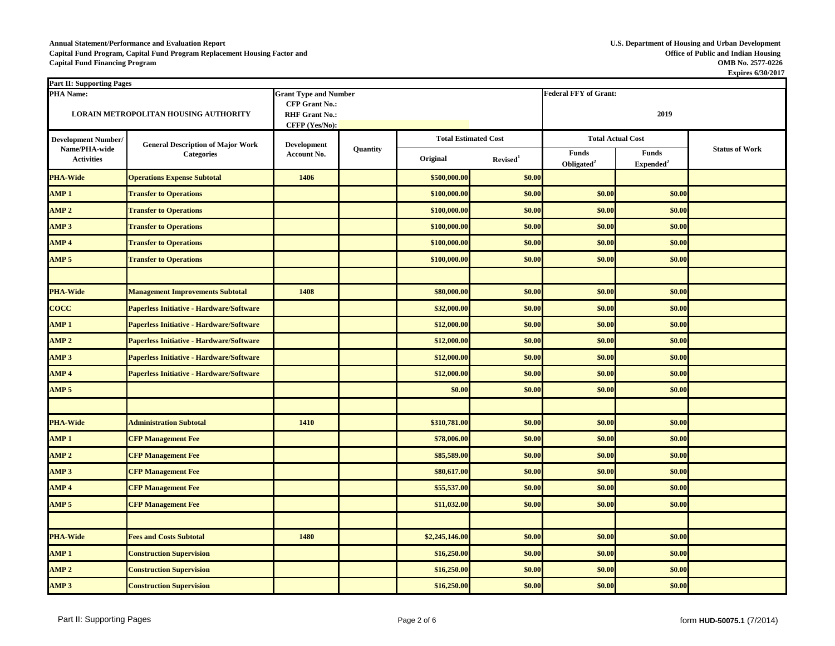## **Annual Statement/Performance and Evaluation Report U.S. Department of Housing and Urban Development Capital Fund Program, Capital Fund Program Replacement Housing Factor and Office of Public and Indian Housing Capital Fund Financing Program**

| <b>Part II: Supporting Pages</b> |                                                 |                                                |          |                             |                      |                                 |                                       |                       |
|----------------------------------|-------------------------------------------------|------------------------------------------------|----------|-----------------------------|----------------------|---------------------------------|---------------------------------------|-----------------------|
| <b>PHA Name:</b>                 |                                                 | <b>Grant Type and Number</b>                   |          |                             |                      | <b>Federal FFY of Grant:</b>    |                                       |                       |
|                                  | <b>LORAIN METROPOLITAN HOUSING AUTHORITY</b>    | <b>CFP Grant No.:</b><br><b>RHF Grant No.:</b> |          |                             |                      | 2019                            |                                       |                       |
|                                  |                                                 | CFFP (Yes/No):                                 |          |                             |                      |                                 |                                       |                       |
| <b>Development Number/</b>       | <b>General Description of Major Work</b>        | <b>Development</b>                             |          | <b>Total Estimated Cost</b> |                      | <b>Total Actual Cost</b>        |                                       |                       |
| <b>Activities</b>                | Name/PHA-wide<br><b>Categories</b>              |                                                | Quantity | Original                    | Revised <sup>1</sup> | Funds<br>Obligated <sup>2</sup> | <b>Funds</b><br>Expended <sup>2</sup> | <b>Status of Work</b> |
| <b>PHA-Wide</b>                  | <b>Operations Expense Subtotal</b>              | 1406                                           |          | \$500,000.00                | \$0.00               |                                 |                                       |                       |
| AMP <sub>1</sub>                 | <b>Transfer to Operations</b>                   |                                                |          | \$100,000.00                | \$0.00               | \$0.00                          | \$0.00                                |                       |
| AMP <sub>2</sub>                 | <b>Transfer to Operations</b>                   |                                                |          | \$100,000.00                | \$0.00               | \$0.00                          | \$0.00                                |                       |
| AMP <sub>3</sub>                 | <b>Transfer to Operations</b>                   |                                                |          | \$100,000.00                | \$0.00               | \$0.00                          | \$0.00                                |                       |
| AMP <sub>4</sub>                 | <b>Transfer to Operations</b>                   |                                                |          | \$100,000.00                | \$0.00               | \$0.00                          | \$0.00                                |                       |
| AMP <sub>5</sub>                 | <b>Transfer to Operations</b>                   |                                                |          | \$100,000.00                | \$0.00               | \$0.00                          | \$0.00                                |                       |
|                                  |                                                 |                                                |          |                             |                      |                                 |                                       |                       |
| <b>PHA-Wide</b>                  | <b>Management Improvements Subtotal</b>         | 1408                                           |          | \$80,000.00                 | \$0.00               | \$0.00                          | \$0.00                                |                       |
| <b>COCC</b>                      | <b>Paperless Initiative - Hardware/Software</b> |                                                |          | \$32,000.00                 | \$0.00               | \$0.00                          | \$0.00                                |                       |
| AMP <sub>1</sub>                 | <b>Paperless Initiative - Hardware/Software</b> |                                                |          | \$12,000.00                 | \$0.00               | \$0.00                          | \$0.00                                |                       |
| AMP <sub>2</sub>                 | <b>Paperless Initiative - Hardware/Software</b> |                                                |          | \$12,000.00                 | \$0.00               | \$0.00                          | \$0.00                                |                       |
| AMP <sub>3</sub>                 | <b>Paperless Initiative - Hardware/Software</b> |                                                |          | \$12,000.00                 | \$0.00               | \$0.00                          | \$0.00                                |                       |
| AMP <sub>4</sub>                 | <b>Paperless Initiative - Hardware/Software</b> |                                                |          | \$12,000.00                 | \$0.00               | \$0.00                          | \$0.00                                |                       |
| AMP <sub>5</sub>                 |                                                 |                                                |          | \$0.00                      | \$0.00               | \$0.00                          | \$0.00                                |                       |
|                                  |                                                 |                                                |          |                             |                      |                                 |                                       |                       |
| <b>PHA-Wide</b>                  | <b>Administration Subtotal</b>                  | 1410                                           |          | \$310,781.00                | \$0.00               | \$0.00                          | \$0.00                                |                       |
| AMP <sub>1</sub>                 | <b>CFP Management Fee</b>                       |                                                |          | \$78,006.00                 | \$0.00               | \$0.00                          | \$0.00                                |                       |
| AMP <sub>2</sub>                 | <b>CFP Management Fee</b>                       |                                                |          | \$85,589.00                 | \$0.00               | \$0.00                          | \$0.00                                |                       |
| AMP3                             | <b>CFP Management Fee</b>                       |                                                |          | \$80,617.00                 | \$0.00               | \$0.00                          | \$0.00                                |                       |
| AMP <sub>4</sub>                 | <b>CFP Management Fee</b>                       |                                                |          | \$55,537.00                 | \$0.00               | \$0.00                          | \$0.00                                |                       |
| AMP 5                            | <b>CFP Management Fee</b>                       |                                                |          | \$11,032.00                 | \$0.00               | \$0.00                          | \$0.00                                |                       |
|                                  |                                                 |                                                |          |                             |                      |                                 |                                       |                       |
| <b>PHA-Wide</b>                  | <b>Fees and Costs Subtotal</b>                  | 1480                                           |          | \$2,245,146.00              | \$0.00               | \$0.00                          | \$0.00                                |                       |
| AMP <sub>1</sub>                 | <b>Construction Supervision</b>                 |                                                |          | \$16,250.00                 | \$0.00               | \$0.00                          | \$0.00                                |                       |
| AMP <sub>2</sub>                 | <b>Construction Supervision</b>                 |                                                |          | \$16,250.00                 | \$0.00               | \$0.00                          | \$0.00                                |                       |
| AMP <sub>3</sub>                 | <b>Construction Supervision</b>                 |                                                |          | \$16,250.00                 | \$0.00               | \$0.00                          | \$0.00                                |                       |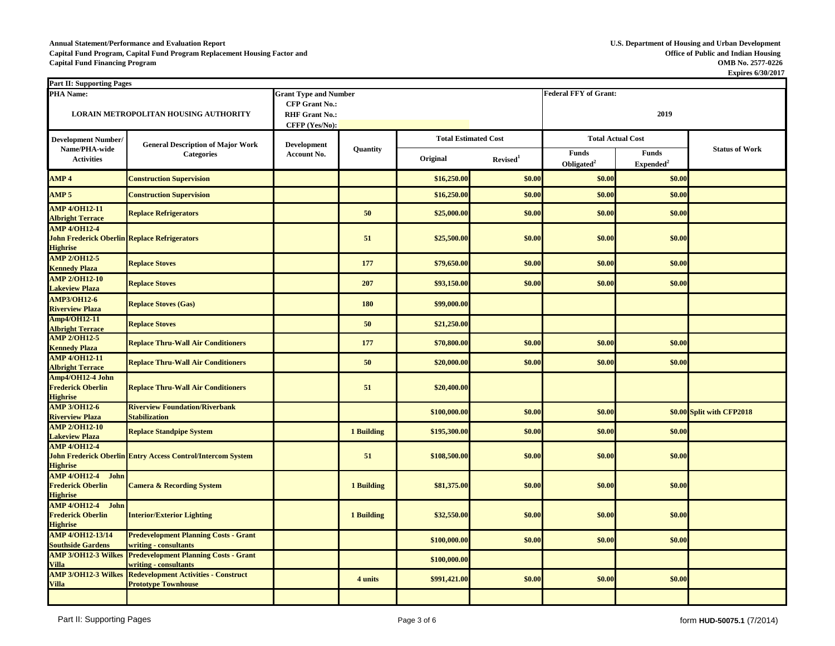## **Annual Statement/Performance and Evaluation Report U.S. Department of Housing and Urban Development Capital Fund Program, Capital Fund Program Replacement Housing Factor and** Capital Fund Program, Capital Fund Program Replacement Housing Factor and<br>Capital Fund Financing Program **Capital Fund Financing Program OMB No. 2577-0226**

| <b>Part II: Supporting Pages</b>                                                              |                                                                                           |                              |                   |              |                             |                              |                                       |                           |
|-----------------------------------------------------------------------------------------------|-------------------------------------------------------------------------------------------|------------------------------|-------------------|--------------|-----------------------------|------------------------------|---------------------------------------|---------------------------|
| <b>PHA Name:</b>                                                                              |                                                                                           | <b>Grant Type and Number</b> |                   |              |                             | <b>Federal FFY of Grant:</b> |                                       |                           |
|                                                                                               |                                                                                           | <b>CFP Grant No.:</b>        |                   |              |                             |                              |                                       |                           |
|                                                                                               | <b>LORAIN METROPOLITAN HOUSING AUTHORITY</b>                                              | <b>RHF Grant No.:</b>        |                   |              |                             | 2019                         |                                       |                           |
|                                                                                               |                                                                                           | CFFP (Yes/No):               |                   |              |                             |                              |                                       |                           |
| <b>Development Number/</b><br>Name/PHA-wide                                                   | <b>General Description of Major Work</b>                                                  | <b>Development</b>           |                   |              | <b>Total Estimated Cost</b> |                              | <b>Total Actual Cost</b>              |                           |
| <b>Activities</b>                                                                             | <b>Categories</b>                                                                         |                              | <b>Quantity</b>   | Original     | Revised <sup>1</sup>        | Funds<br>Obligated $2$       | <b>Funds</b><br>Expended <sup>2</sup> | <b>Status of Work</b>     |
| AMP <sub>4</sub>                                                                              | <b>Construction Supervision</b>                                                           |                              |                   | \$16,250.00  | \$0.00                      | \$0.00                       | \$0.00                                |                           |
| AMP <sub>5</sub>                                                                              | <b>Construction Supervision</b>                                                           |                              |                   | \$16,250.00  | \$0.00                      | \$0.00                       | \$0.00                                |                           |
| <b>AMP 4/OH12-11</b><br><b>Albright Terrace</b>                                               | <b>Replace Refrigerators</b>                                                              |                              | 50                | \$25,000.00  | \$0.00                      | \$0.00                       | \$0.00                                |                           |
| <b>AMP 4/OH12-4</b><br><b>John Frederick Oberlin Replace Refrigerators</b><br><b>Highrise</b> |                                                                                           |                              | 51                | \$25,500.00  | \$0.00                      | \$0.00                       | \$0.00                                |                           |
| <b>AMP 2/OH12-5</b><br><b>Kennedy Plaza</b>                                                   | <b>Replace Stoves</b>                                                                     |                              | 177               | \$79,650.00  | \$0.00                      | \$0.00                       | \$0.00                                |                           |
| <b>AMP 2/OH12-10</b><br><b>Lakeview Plaza</b>                                                 | <b>Replace Stoves</b>                                                                     |                              | 207               | \$93,150.00  | \$0.00                      | \$0.00                       | \$0.00                                |                           |
| <b>AMP3/OH12-6</b><br><b>Riverview Plaza</b>                                                  | <b>Replace Stoves (Gas)</b>                                                               |                              | <b>180</b>        | \$99,000.00  |                             |                              |                                       |                           |
| Amp4/OH12-11<br><b>Albright Terrace</b>                                                       | <b>Replace Stoves</b>                                                                     |                              | 50                | \$21,250.00  |                             |                              |                                       |                           |
| <b>AMP 2/OH12-5</b><br><b>Kennedy Plaza</b>                                                   | <b>Replace Thru-Wall Air Conditioners</b>                                                 |                              | 177               | \$70,800.00  | \$0.00                      | \$0.00                       | \$0.00                                |                           |
| <b>AMP 4/OH12-11</b><br><b>Albright Terrace</b>                                               | <b>Replace Thru-Wall Air Conditioners</b>                                                 |                              | 50                | \$20,000.00  | \$0.00                      | \$0.00                       | \$0.00                                |                           |
| Amp4/OH12-4 John<br><b>Frederick Oberlin</b><br><b>Highrise</b>                               | <b>Replace Thru-Wall Air Conditioners</b>                                                 |                              | 51                | \$20,400.00  |                             |                              |                                       |                           |
| <b>AMP 3/OH12-6</b><br><b>Riverview Plaza</b>                                                 | <b>Riverview Foundation/Riverbank</b><br><b>Stabilization</b>                             |                              |                   | \$100,000.00 | \$0.00                      | \$0.00                       |                                       | \$0.00 Split with CFP2018 |
| <b>AMP 2/OH12-10</b><br><b>Lakeview Plaza</b>                                                 | <b>Replace Standpipe System</b>                                                           |                              | 1 Building        | \$195,300.00 | \$0.00                      | \$0.00                       | \$0.00                                |                           |
| <b>AMP 4/OH12-4</b><br><b>Highrise</b>                                                        | <b>John Frederick Oberlin Entry Access Control/Intercom System</b>                        |                              | 51                | \$108,500.00 | \$0.00                      | \$0.00                       | \$0.00                                |                           |
| AMP 4/OH12-4 John<br><b>Frederick Oberlin</b><br><b>Highrise</b>                              | <b>Camera &amp; Recording System</b>                                                      |                              | <b>1 Building</b> | \$81,375.00  | \$0.00                      | \$0.00                       | \$0.00                                |                           |
| AMP 4/OH12-4 John<br><b>Frederick Oberlin</b><br><b>Highrise</b>                              | <b>Interior/Exterior Lighting</b>                                                         |                              | 1 Building        | \$32,550.00  | \$0.00                      | \$0.00                       | \$0.00                                |                           |
| <b>AMP 4/OH12-13/14</b><br><b>Southside Gardens</b>                                           | <b>Predevelopment Planning Costs - Grant</b><br>writing - consultants                     |                              |                   | \$100,000.00 | \$0.00                      | \$0.00                       | \$0.00                                |                           |
| <b>Villa</b>                                                                                  | <b>AMP 3/OH12-3 Wilkes Predevelopment Planning Costs - Grant</b><br>writing - consultants |                              |                   | \$100,000.00 |                             |                              |                                       |                           |
| <b>AMP 3/OH12-3 Wilkes</b><br><b>Villa</b>                                                    | <b>Redevelopment Activities - Construct</b><br><b>Prototype Townhouse</b>                 |                              | 4 units           | \$991,421.00 | \$0.00                      | \$0.00                       | \$0.00                                |                           |
|                                                                                               |                                                                                           |                              |                   |              |                             |                              |                                       |                           |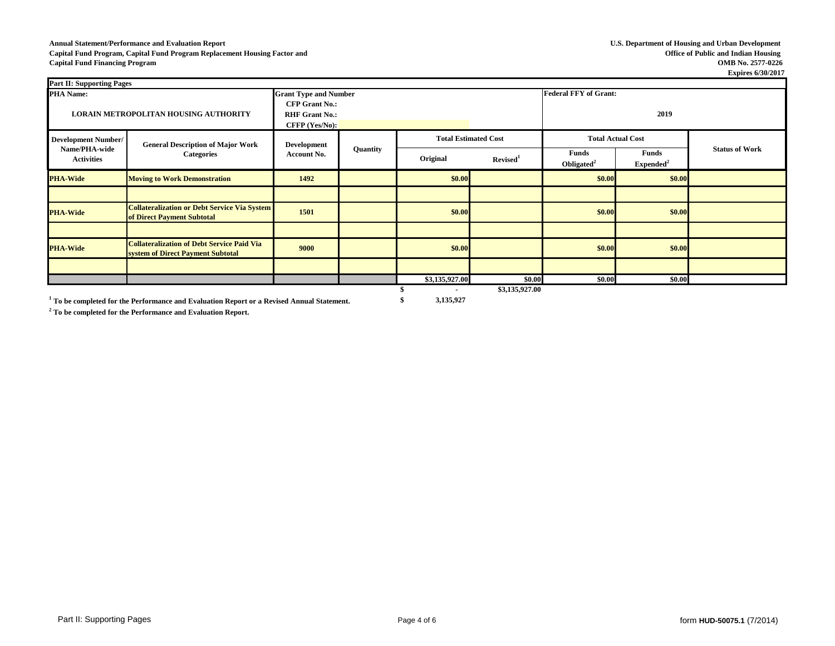## **Annual Statement/Performance and Evaluation Report U.S. Department of Housing and Urban Development Capital Fund Program, Capital Fund Program Replacement Housing Factor and Capital Fund Financing Program OMB No. 2577-0226**

| <b>Part II: Supporting Pages</b>   |                                                                                        |                                                                    |          |                             |                      |                                        |                      |                       |
|------------------------------------|----------------------------------------------------------------------------------------|--------------------------------------------------------------------|----------|-----------------------------|----------------------|----------------------------------------|----------------------|-----------------------|
| <b>PHA Name:</b>                   |                                                                                        | <b>Grant Type and Number</b>                                       |          |                             |                      | <b>Federal FFY of Grant:</b>           |                      |                       |
|                                    | LORAIN METROPOLITAN HOUSING AUTHORITY                                                  | <b>CFP Grant No.:</b><br><b>RHF Grant No.:</b><br>$CFFP$ (Yes/No): |          |                             | 2019                 |                                        |                      |                       |
| <b>Development Number/</b>         | <b>General Description of Major Work</b><br><b>Categories</b>                          | <b>Development</b><br>Account No.                                  | Quantity | <b>Total Estimated Cost</b> |                      | <b>Total Actual Cost</b>               |                      |                       |
| Name/PHA-wide<br><b>Activities</b> |                                                                                        |                                                                    |          | Original                    | Revised <sup>1</sup> | <b>Funds</b><br>Obligated <sup>2</sup> | Funds<br>$Expected2$ | <b>Status of Work</b> |
| <b>PHA-Wide</b>                    | <b>Moving to Work Demonstration</b>                                                    | 1492                                                               |          | \$0.00                      |                      | \$0.00                                 | \$0.00               |                       |
|                                    |                                                                                        |                                                                    |          |                             |                      |                                        |                      |                       |
| <b>PHA-Wide</b>                    | <b>Collateralization or Debt Service Via System</b><br>of Direct Payment Subtotal      | 1501                                                               |          | \$0.00                      |                      | \$0.00                                 | \$0.00               |                       |
|                                    |                                                                                        |                                                                    |          |                             |                      |                                        |                      |                       |
| <b>PHA-Wide</b>                    | <b>Collateralization of Debt Service Paid Via</b><br>system of Direct Payment Subtotal | 9000                                                               |          | \$0.00                      |                      | \$0.00                                 | \$0.00               |                       |
|                                    |                                                                                        |                                                                    |          |                             |                      |                                        |                      |                       |
|                                    |                                                                                        |                                                                    |          | \$3,135,927.00              | \$0.00               | \$0.00                                 | \$0.00               |                       |
|                                    |                                                                                        |                                                                    |          | $\overline{\phantom{a}}$    | \$3,135,927.00       |                                        |                      |                       |

**1 To be completed for the Performance and Evaluation Report or a Revised Annual Statement. \$ 3,135,927**

**2 To be completed for the Performance and Evaluation Report.**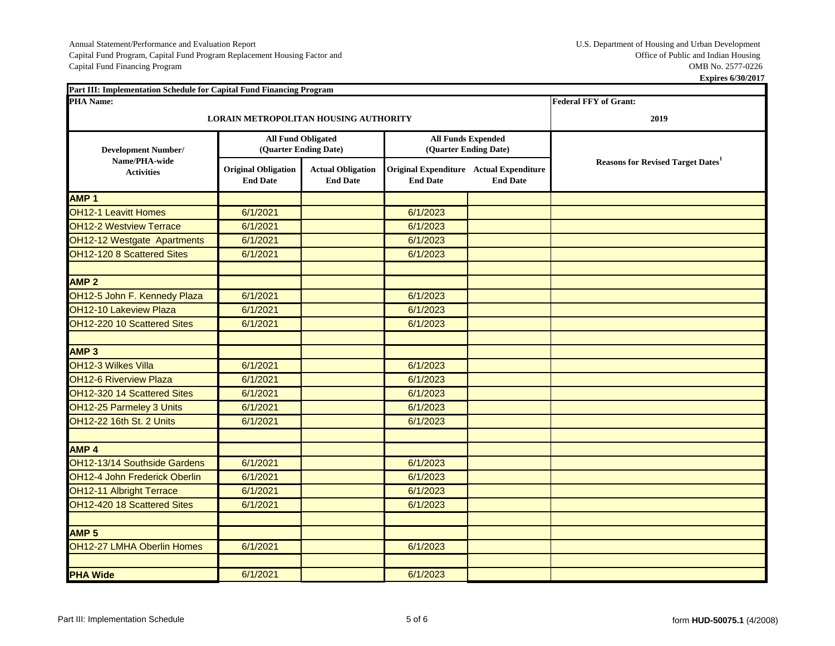Capital Fund Program, Capital Fund Program Replacement Housing Factor and Coffice of Public and Indian Housing Capital Fund Financing Program Replacement Housing Factor and Capital Fund Financing Program COMB No. 2577-0226 Capital Fund Financing Program

| Part III: Implementation Schedule for Capital Fund Financing Program |                                               |                                             |                 |                                                            |                                                      |
|----------------------------------------------------------------------|-----------------------------------------------|---------------------------------------------|-----------------|------------------------------------------------------------|------------------------------------------------------|
| <b>PHA Name:</b>                                                     |                                               |                                             |                 |                                                            | <b>Federal FFY of Grant:</b>                         |
|                                                                      | LORAIN METROPOLITAN HOUSING AUTHORITY         |                                             |                 |                                                            | 2019                                                 |
| <b>Development Number/</b>                                           | <b>All Fund Obligated</b>                     | (Quarter Ending Date)                       |                 | <b>All Funds Expended</b><br>(Quarter Ending Date)         |                                                      |
| Name/PHA-wide<br><b>Activities</b>                                   | <b>Original Obligation</b><br><b>End Date</b> | <b>Actual Obligation</b><br><b>End Date</b> | <b>End Date</b> | Original Expenditure Actual Expenditure<br><b>End Date</b> | <b>Reasons for Revised Target Dates</b> <sup>1</sup> |
| AMP <sub>1</sub>                                                     |                                               |                                             |                 |                                                            |                                                      |
| <b>OH12-1 Leavitt Homes</b>                                          | 6/1/2021                                      |                                             | 6/1/2023        |                                                            |                                                      |
| <b>OH12-2 Westview Terrace</b>                                       | 6/1/2021                                      |                                             | 6/1/2023        |                                                            |                                                      |
| OH12-12 Westgate Apartments                                          | 6/1/2021                                      |                                             | 6/1/2023        |                                                            |                                                      |
| OH12-120 8 Scattered Sites                                           | 6/1/2021                                      |                                             | 6/1/2023        |                                                            |                                                      |
| <b>AMP 2</b>                                                         |                                               |                                             |                 |                                                            |                                                      |
| OH12-5 John F. Kennedy Plaza                                         | 6/1/2021                                      |                                             | 6/1/2023        |                                                            |                                                      |
| OH12-10 Lakeview Plaza                                               | 6/1/2021                                      |                                             | 6/1/2023        |                                                            |                                                      |
| OH12-220 10 Scattered Sites                                          | 6/1/2021                                      |                                             | 6/1/2023        |                                                            |                                                      |
|                                                                      |                                               |                                             |                 |                                                            |                                                      |
| AMP <sub>3</sub>                                                     |                                               |                                             |                 |                                                            |                                                      |
| OH12-3 Wilkes Villa                                                  | 6/1/2021                                      |                                             | 6/1/2023        |                                                            |                                                      |
| <b>OH12-6 Riverview Plaza</b>                                        | 6/1/2021                                      |                                             | 6/1/2023        |                                                            |                                                      |
| OH12-320 14 Scattered Sites                                          | 6/1/2021                                      |                                             | 6/1/2023        |                                                            |                                                      |
| OH12-25 Parmeley 3 Units                                             | 6/1/2021                                      |                                             | 6/1/2023        |                                                            |                                                      |
| OH12-22 16th St. 2 Units                                             | 6/1/2021                                      |                                             | 6/1/2023        |                                                            |                                                      |
| AMP <sub>4</sub>                                                     |                                               |                                             |                 |                                                            |                                                      |
| OH12-13/14 Southside Gardens                                         | 6/1/2021                                      |                                             | 6/1/2023        |                                                            |                                                      |
| OH12-4 John Frederick Oberlin                                        | 6/1/2021                                      |                                             | 6/1/2023        |                                                            |                                                      |
| OH12-11 Albright Terrace                                             | 6/1/2021                                      |                                             | 6/1/2023        |                                                            |                                                      |
| OH12-420 18 Scattered Sites                                          | 6/1/2021                                      |                                             | 6/1/2023        |                                                            |                                                      |
|                                                                      |                                               |                                             |                 |                                                            |                                                      |
| AMP <sub>5</sub>                                                     |                                               |                                             |                 |                                                            |                                                      |
| OH12-27 LMHA Oberlin Homes                                           | 6/1/2021                                      |                                             | 6/1/2023        |                                                            |                                                      |
|                                                                      |                                               |                                             |                 |                                                            |                                                      |
| <b>PHA Wide</b>                                                      | 6/1/2021                                      |                                             | 6/1/2023        |                                                            |                                                      |